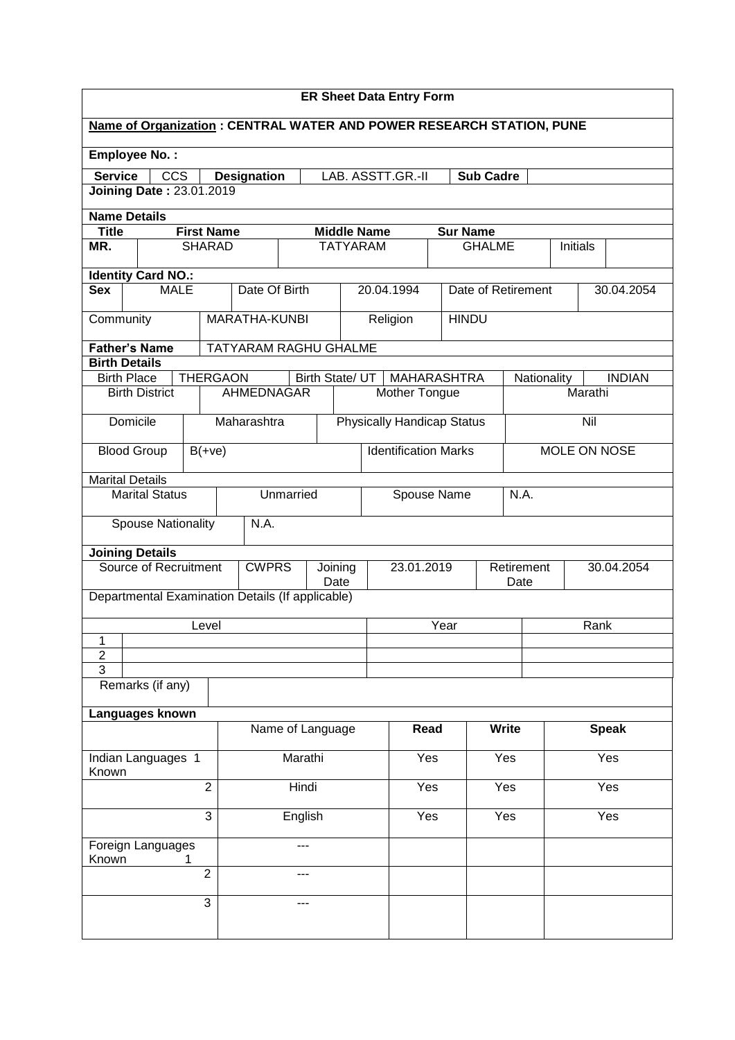| <b>ER Sheet Data Entry Form</b>                   |                                                                                             |                                    |  |                                                     |                  |      |                 |     |                                     |      |                    |                    |             |              |               |
|---------------------------------------------------|---------------------------------------------------------------------------------------------|------------------------------------|--|-----------------------------------------------------|------------------|------|-----------------|-----|-------------------------------------|------|--------------------|--------------------|-------------|--------------|---------------|
|                                                   | Name of Organization: CENTRAL WATER AND POWER RESEARCH STATION, PUNE                        |                                    |  |                                                     |                  |      |                 |     |                                     |      |                    |                    |             |              |               |
|                                                   | <b>Employee No.:</b>                                                                        |                                    |  |                                                     |                  |      |                 |     |                                     |      |                    |                    |             |              |               |
|                                                   | <b>Service</b><br><b>CCS</b><br><b>Designation</b><br>LAB. ASSTT.GR.-II<br><b>Sub Cadre</b> |                                    |  |                                                     |                  |      |                 |     |                                     |      |                    |                    |             |              |               |
|                                                   | <b>Joining Date: 23.01.2019</b>                                                             |                                    |  |                                                     |                  |      |                 |     |                                     |      |                    |                    |             |              |               |
| <b>Name Details</b>                               |                                                                                             |                                    |  |                                                     |                  |      |                 |     |                                     |      |                    |                    |             |              |               |
| <b>Title</b><br>MR.                               |                                                                                             | <b>First Name</b><br><b>SHARAD</b> |  | <b>Middle Name</b><br><b>Sur Name</b>               |                  |      |                 |     |                                     |      |                    |                    |             |              |               |
|                                                   |                                                                                             |                                    |  | <b>TATYARAM</b><br><b>GHALME</b><br><b>Initials</b> |                  |      |                 |     |                                     |      |                    |                    |             |              |               |
|                                                   | <b>Identity Card NO.:</b>                                                                   |                                    |  |                                                     |                  |      |                 |     |                                     |      |                    |                    |             |              |               |
| <b>Sex</b>                                        | <b>MALE</b>                                                                                 |                                    |  | Date Of Birth                                       |                  |      |                 |     | 20.04.1994                          |      | Date of Retirement |                    |             |              | 30.04.2054    |
| Community                                         |                                                                                             |                                    |  | MARATHA-KUNBI                                       |                  |      |                 |     | Religion                            |      | <b>HINDU</b>       |                    |             |              |               |
| <b>Father's Name</b>                              |                                                                                             |                                    |  | TATYARAM RAGHU GHALME                               |                  |      |                 |     |                                     |      |                    |                    |             |              |               |
| <b>Birth Details</b>                              |                                                                                             | <b>THERGAON</b>                    |  |                                                     |                  |      |                 |     |                                     |      |                    |                    |             |              | <b>INDIAN</b> |
| <b>Birth Place</b>                                | <b>Birth District</b>                                                                       |                                    |  | <b>AHMEDNAGAR</b>                                   |                  |      | Birth State/ UT |     | <b>MAHARASHTRA</b><br>Mother Tongue |      |                    |                    | Nationality | Marathi      |               |
|                                                   |                                                                                             |                                    |  |                                                     |                  |      |                 |     |                                     |      |                    |                    |             |              |               |
|                                                   | Domicile                                                                                    |                                    |  | Maharashtra                                         |                  |      |                 |     | <b>Physically Handicap Status</b>   |      |                    |                    |             | Nil          |               |
| <b>Blood Group</b>                                |                                                                                             | $B(+ve)$                           |  |                                                     |                  |      |                 |     | <b>Identification Marks</b>         |      |                    |                    |             | MOLE ON NOSE |               |
| <b>Marital Details</b>                            |                                                                                             |                                    |  |                                                     |                  |      |                 |     |                                     |      |                    |                    |             |              |               |
| <b>Marital Status</b><br>Unmarried<br>Spouse Name |                                                                                             |                                    |  |                                                     |                  | N.A. |                 |     |                                     |      |                    |                    |             |              |               |
|                                                   | <b>Spouse Nationality</b>                                                                   |                                    |  | N.A.                                                |                  |      |                 |     |                                     |      |                    |                    |             |              |               |
|                                                   | <b>Joining Details</b>                                                                      |                                    |  |                                                     |                  |      |                 |     |                                     |      |                    |                    |             |              |               |
|                                                   | <b>Source of Recruitment</b>                                                                |                                    |  | <b>CWPRS</b>                                        | Joining<br>Date  |      |                 |     | 23.01.2019                          |      |                    | Retirement<br>Date |             |              | 30.04.2054    |
|                                                   | Departmental Examination Details (If applicable)                                            |                                    |  |                                                     |                  |      |                 |     |                                     |      |                    |                    |             |              |               |
|                                                   |                                                                                             | Level                              |  |                                                     |                  |      |                 |     |                                     | Year |                    |                    |             | Rank         |               |
| 1<br>$\overline{c}$                               |                                                                                             |                                    |  |                                                     |                  |      |                 |     |                                     |      |                    |                    |             |              |               |
| 3                                                 |                                                                                             |                                    |  |                                                     |                  |      |                 |     |                                     |      |                    |                    |             |              |               |
|                                                   | Remarks (if any)                                                                            |                                    |  |                                                     |                  |      |                 |     |                                     |      |                    |                    |             |              |               |
|                                                   | Languages known                                                                             |                                    |  |                                                     |                  |      |                 |     |                                     |      |                    |                    |             |              |               |
|                                                   |                                                                                             |                                    |  |                                                     | Name of Language |      |                 |     | Read                                |      |                    | <b>Write</b>       |             |              | <b>Speak</b>  |
| Indian Languages 1<br>Known                       |                                                                                             |                                    |  | Marathi                                             |                  |      |                 | Yes |                                     |      | Yes                |                    | Yes         |              |               |
| $\overline{2}$                                    |                                                                                             |                                    |  | Hindi                                               |                  |      |                 | Yes |                                     |      | Yes                |                    | Yes         |              |               |
| 3<br>English                                      |                                                                                             |                                    |  |                                                     |                  |      | Yes             |     |                                     | Yes  |                    |                    | Yes         |              |               |
| Foreign Languages<br>Known                        |                                                                                             |                                    |  |                                                     |                  |      |                 |     |                                     |      |                    |                    |             |              |               |
| $\overline{2}$                                    |                                                                                             |                                    |  |                                                     |                  |      |                 |     |                                     |      |                    |                    |             |              |               |
| $\overline{3}$                                    |                                                                                             |                                    |  |                                                     |                  |      |                 |     |                                     |      |                    |                    |             |              |               |
|                                                   |                                                                                             |                                    |  |                                                     |                  |      |                 |     |                                     |      |                    |                    |             |              |               |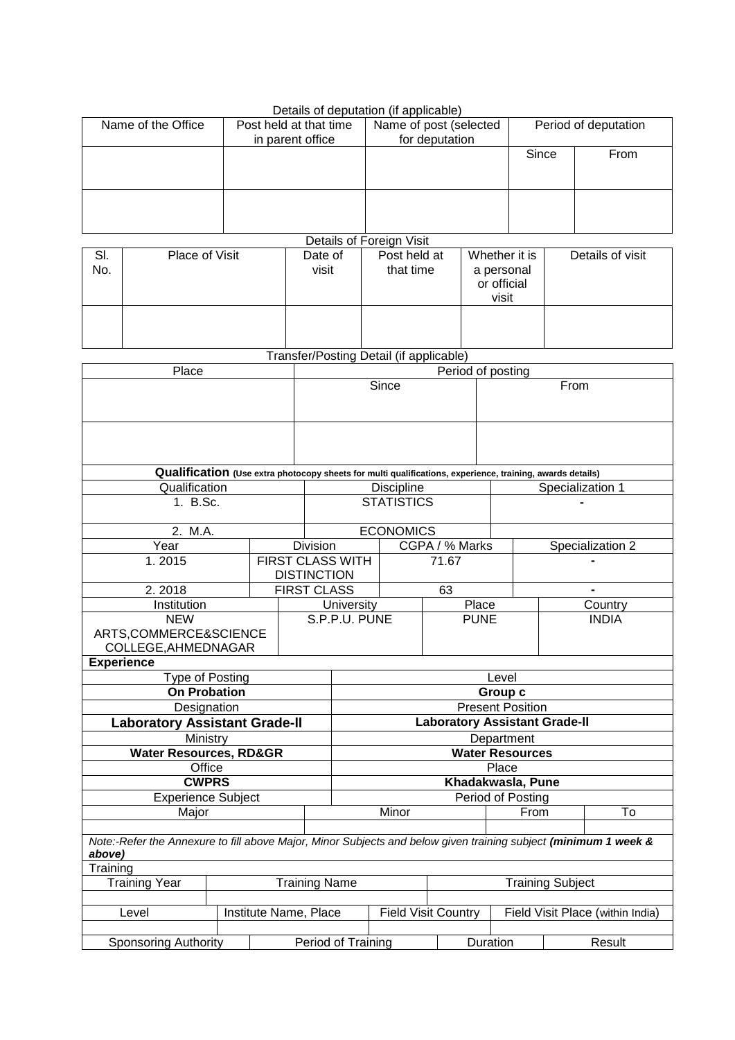| Details of deputation (if applicable) |                                            |                                          |                      |      |  |  |  |  |
|---------------------------------------|--------------------------------------------|------------------------------------------|----------------------|------|--|--|--|--|
| Name of the Office                    | Post held at that time<br>in parent office | Name of post (selected<br>for deputation | Period of deputation |      |  |  |  |  |
|                                       |                                            |                                          | Since                | From |  |  |  |  |
|                                       |                                            |                                          |                      |      |  |  |  |  |

**Details of Foreign Visit** 

|            | 50             |                  |                           |                                                     |                  |  |  |  |  |  |  |
|------------|----------------|------------------|---------------------------|-----------------------------------------------------|------------------|--|--|--|--|--|--|
| SI.<br>No. | Place of Visit | Date of<br>visit | Post held at<br>that time | Whether it is<br>a personal<br>or official<br>visit | Details of visit |  |  |  |  |  |  |
|            |                |                  |                           |                                                     |                  |  |  |  |  |  |  |

Transfer/Posting Detail (if applicable)

| Place                                                                                                                     |                      | Period of posting  |                         |                         |                                      |                                    |                  |                  |  |
|---------------------------------------------------------------------------------------------------------------------------|----------------------|--------------------|-------------------------|-------------------------|--------------------------------------|------------------------------------|------------------|------------------|--|
|                                                                                                                           |                      | Since              |                         |                         | From                                 |                                    |                  |                  |  |
|                                                                                                                           |                      |                    |                         |                         |                                      |                                    |                  |                  |  |
|                                                                                                                           |                      |                    |                         |                         |                                      |                                    |                  |                  |  |
|                                                                                                                           |                      |                    |                         |                         |                                      |                                    |                  |                  |  |
|                                                                                                                           |                      |                    |                         |                         |                                      |                                    |                  |                  |  |
| Qualification (Use extra photocopy sheets for multi qualifications, experience, training, awards details)                 |                      |                    |                         |                         |                                      |                                    |                  |                  |  |
| Qualification                                                                                                             |                      |                    |                         | <b>Discipline</b>       |                                      |                                    | Specialization 1 |                  |  |
| 1. B.Sc.                                                                                                                  |                      |                    |                         | <b>STATISTICS</b>       |                                      |                                    |                  |                  |  |
|                                                                                                                           |                      |                    |                         |                         |                                      |                                    |                  |                  |  |
| 2. M.A.                                                                                                                   |                      |                    |                         | <b>ECONOMICS</b>        |                                      |                                    |                  |                  |  |
| Year                                                                                                                      |                      | <b>Division</b>    |                         |                         | CGPA / % Marks                       |                                    |                  | Specialization 2 |  |
| 1.2015                                                                                                                    |                      |                    | <b>FIRST CLASS WITH</b> |                         | 71.67                                |                                    |                  |                  |  |
|                                                                                                                           |                      | <b>DISTINCTION</b> |                         |                         |                                      |                                    |                  |                  |  |
| 2.2018                                                                                                                    |                      | <b>FIRST CLASS</b> |                         |                         | 63                                   |                                    |                  |                  |  |
| Institution                                                                                                               |                      |                    | University              |                         | Place                                |                                    | Country          |                  |  |
| <b>NEW</b>                                                                                                                |                      |                    | S.P.P.U. PUNE           |                         | <b>PUNE</b>                          |                                    | <b>INDIA</b>     |                  |  |
| ARTS,COMMERCE&SCIENCE                                                                                                     |                      |                    |                         |                         |                                      |                                    |                  |                  |  |
| COLLEGE, AHMEDNAGAR                                                                                                       |                      |                    |                         |                         |                                      |                                    |                  |                  |  |
| <b>Experience</b>                                                                                                         |                      |                    |                         |                         |                                      |                                    |                  |                  |  |
| Type of Posting<br><b>On Probation</b>                                                                                    |                      |                    |                         |                         |                                      | Level                              |                  |                  |  |
| Designation                                                                                                               |                      |                    |                         |                         |                                      | Group c<br><b>Present Position</b> |                  |                  |  |
| <b>Laboratory Assistant Grade-II</b>                                                                                      |                      |                    |                         |                         | <b>Laboratory Assistant Grade-II</b> |                                    |                  |                  |  |
| Ministry                                                                                                                  |                      |                    |                         |                         |                                      | Department                         |                  |                  |  |
| <b>Water Resources, RD&amp;GR</b>                                                                                         |                      |                    | <b>Water Resources</b>  |                         |                                      |                                    |                  |                  |  |
| Office                                                                                                                    |                      |                    | Place                   |                         |                                      |                                    |                  |                  |  |
| <b>CWPRS</b>                                                                                                              |                      |                    | Khadakwasla, Pune       |                         |                                      |                                    |                  |                  |  |
| <b>Experience Subject</b>                                                                                                 |                      |                    | Period of Posting       |                         |                                      |                                    |                  |                  |  |
| Major                                                                                                                     |                      |                    |                         | Minor                   |                                      | From                               |                  | To               |  |
|                                                                                                                           |                      |                    |                         |                         |                                      |                                    |                  |                  |  |
| Note:-Refer the Annexure to fill above Major, Minor Subjects and below given training subject (minimum 1 week &<br>above) |                      |                    |                         |                         |                                      |                                    |                  |                  |  |
| Training                                                                                                                  |                      |                    |                         |                         |                                      |                                    |                  |                  |  |
| <b>Training Year</b>                                                                                                      | <b>Training Name</b> |                    |                         | <b>Training Subject</b> |                                      |                                    |                  |                  |  |
|                                                                                                                           |                      |                    |                         |                         |                                      |                                    |                  |                  |  |
| Institute Name, Place<br>Level                                                                                            |                      |                    |                         |                         | <b>Field Visit Country</b>           | Field Visit Place (within India)   |                  |                  |  |
|                                                                                                                           |                      |                    |                         |                         |                                      |                                    |                  |                  |  |
| <b>Sponsoring Authority</b>                                                                                               |                      |                    | Period of Training      |                         |                                      | Duration                           |                  | Result           |  |